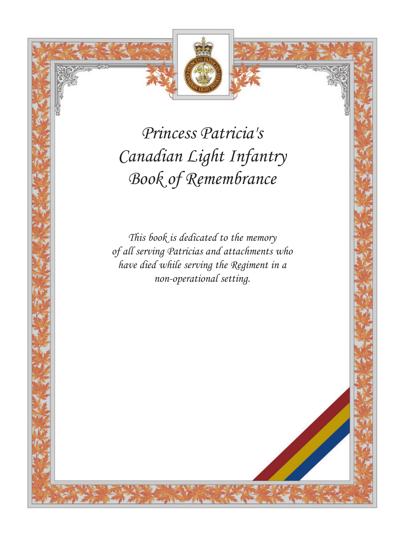

*Princess Patricia's Canadian Light Infantry Book of Remembrance*

*This book is dedicated to the memory of all serving Patricias and attachments who have died while serving the Regiment in a non-operational setting.*

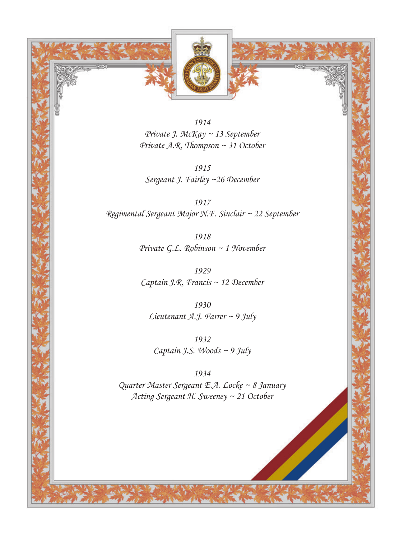

*1914 Private J. McKay ~ 13 September Private A.R. Thompson ~ 31 October*

*1915 Sergeant J. Fairley ~26 December*

*1917 Regimental Sergeant Major N.F. Sinclair ~ 22 September*

> *1918 Private G.L. Robinson ~ 1 November*

*1929 Captain J.R. Francis ~ 12 December*

*1930 Lieutenant A.J. Farrer ~ 9 July*

*1932 Captain J.S. Woods ~ 9 July*

*1934 Quarter Master Sergeant E.A. Locke ~ 8 January Acting Sergeant H. Sweeney ~ 21 October*

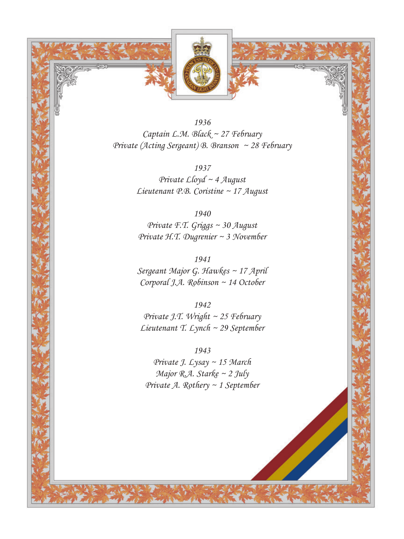

*1936 Captain L.M. Black ~ 27 February Private (Acting Sergeant) B. Branson ~ 28 February*

> *1937 Private Lloyd ~ 4 August Lieutenant P.B. Coristine ~ 17 August*

*1940 Private F.T. Griggs ~ 30 August Private H.T. Dugrenier ~ 3 November*

*1941 Sergeant Major G. Hawkes ~ 17 April Corporal J.A. Robinson ~ 14 October*

*1942 Private J.T. Wright ~ 25 February Lieutenant T. Lynch ~ 29 September*

*1943*

*Private J. Lysay ~ 15 March Major R.A. Starke ~ 2 July Private A. Rothery ~ 1 September*

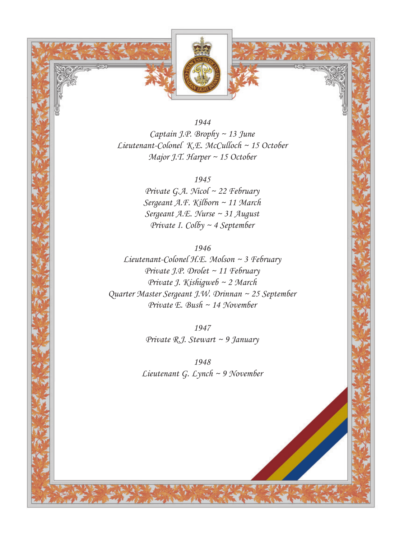

*1944 Captain J.P. Brophy ~ 13 June Lieutenant-Colonel K.E. McCulloch ~ 15 October Major J.T. Harper ~ 15 October*

*1945*

*Private G.A. Nicol ~ 22 February Sergeant A.F. Kilborn ~ 11 March Sergeant A.E. Nurse ~ 31 August Private I. Colby ~ 4 September*

*1946*

*Lieutenant-Colonel H.E. Molson ~ 3 February Private J.P. Drolet ~ 11 February Private J. Kishigweb ~ 2 March Quarter Master Sergeant J.W. Drinnan ~ 25 September Private E. Bush ~ 14 November* 

> *1947 Private R.J. Stewart ~ 9 January*

*1948 Lieutenant G. Lynch ~ 9 November*

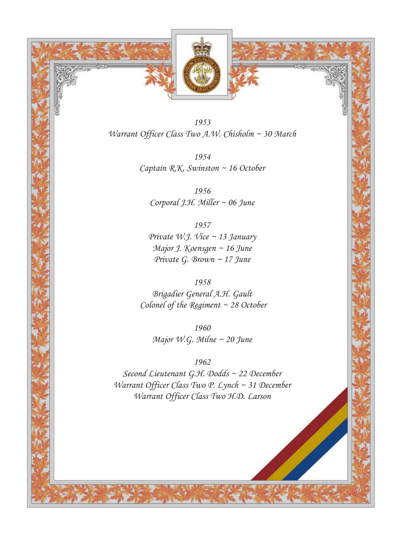



*Warrant Officer Class Two A.W. Chisholm ~ 30 March*

*1954 Captain R.K. Swinston ~ 16 October* 

*1956 Corporal J.H. Miller ~ 06 June* 

*1957 Private W.J. Vice ~ 13 January Major J. Koensgen ~ 16 June Private G. Brown ~ 17 June*

*1958 Brigadier General A.H. Gault Colonel of the Regiment ~ 28 October*

*1960 Major W.G. Milne ~ 20 June*

*1962*

*Second Lieutenant G.H. Dodds ~ 22 December Warrant Officer Class Two P. Lynch ~ 31 December Warrant Officer Class Two H.D. Larson* 

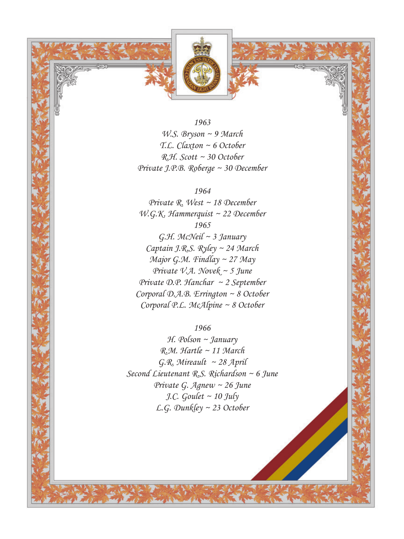

*1963 W.S. Bryson ~ 9 March T.L. Claxton ~ 6 October R.H. Scott ~ 30 October Private J.P.B. Roberge ~ 30 December*

*1964 Private R. West ~ 18 December W.G.K. Hammerquist ~ 22 December 1965*

*G.H. McNeil ~ 3 January Captain J.R.S. Ryley ~ 24 March Major G.M. Findlay ~ 27 May Private V.A. Novek ~ 5 June Private D.P. Hanchar ~ 2 September Corporal D.A.B. Errington ~ 8 October Corporal P.L. McAlpine ~ 8 October*

#### *1966*

*H. Polson ~ January R.M. Hartle ~ 11 March G.R. Mireault ~ 28 April Second Lieutenant R.S. Richardson ~ 6 June Private G. Agnew ~ 26 June J.C. Goulet ~ 10 July L.G. Dunkley ~ 23 October*

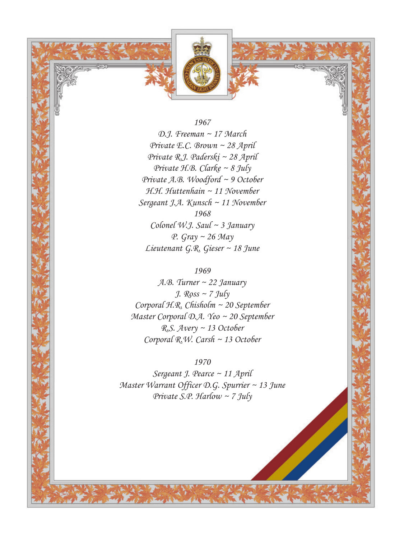

#### *1967*

*D.J. Freeman ~ 17 March Private E.C. Brown ~ 28 April Private R.J. Paderski ~ 28 April Private H.B. Clarke ~ 8 July Private A.B. Woodford ~ 9 October H.H. Huttenhain ~ 11 November Sergeant J.A. Kunsch ~ 11 November 1968 Colonel W.J. Saul ~ 3 January P. Gray ~ 26 May Lieutenant G.R. Gieser ~ 18 June*

# *1969*

*A.B. Turner ~ 22 January J. Ross ~ 7 July Corporal H.R. Chisholm ~ 20 September Master Corporal D.A. Yeo ~ 20 September R.S. Avery ~ 13 October Corporal R.W. Carsh ~ 13 October*

### *1970*

*Sergeant J. Pearce ~ 11 April Master Warrant Officer D.G. Spurrier ~ 13 June Private S.P. Harlow ~ 7 July*

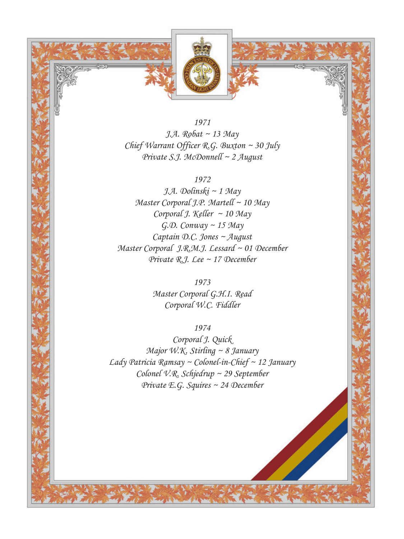

*1971 J.A. Robat ~ 13 May Chief Warrant Officer R.G. Buxton ~ 30 July Private S.J. McDonnell ~ 2 August*

*1972*

*J.A. Dolinski ~ 1 May Master Corporal J.P. Martell ~ 10 May Corporal J. Keller ~ 10 May G.D. Conway ~ 15 May Captain D.C. Jones ~ August Master Corporal J.R.M.J. Lessard ~ 01 December Private R.J. Lee ~ 17 December*

> *1973 Master Corporal G.H.I. Read Corporal W.C. Fiddler*

> > *1974*

*Corporal J. Quick Major W.K. Stirling ~ 8 January Lady Patricia Ramsay ~ Colonel-in-Chief ~ 12 January Colonel V.R. Schjedrup ~ 29 September Private E.G. Squires ~ 24 December*

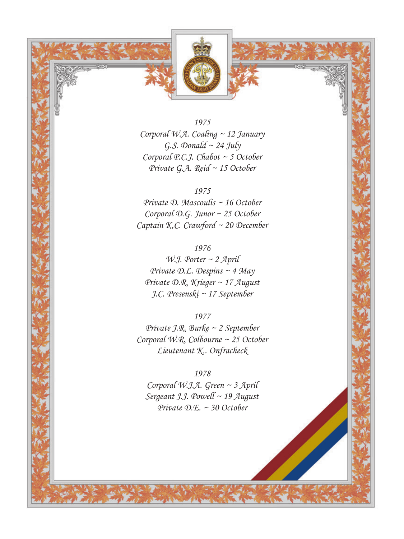

*1975 Corporal W.A. Coaling ~ 12 January G.S. Donald ~ 24 July Corporal P.C.J. Chabot ~ 5 October Private G.A. Reid ~ 15 October*

*1975 Private D. Mascoulis ~ 16 October Corporal D.G. Junor ~ 25 October Captain K.C. Crawford ~ 20 December*

*1976 W.J. Porter ~ 2 April Private D.L. Despins ~ 4 May Private D.R. Krieger ~ 17 August J.C. Presenski ~ 17 September*

*1977 Private J.R. Burke ~ 2 September Corporal W.R. Colbourne ~ 25 October Lieutenant K.. Onfracheck*

*1978 Corporal W.J.A. Green ~ 3 April Sergeant J.J. Powell ~ 19 August Private D.E. ~ 30 October*

![](_page_8_Picture_6.jpeg)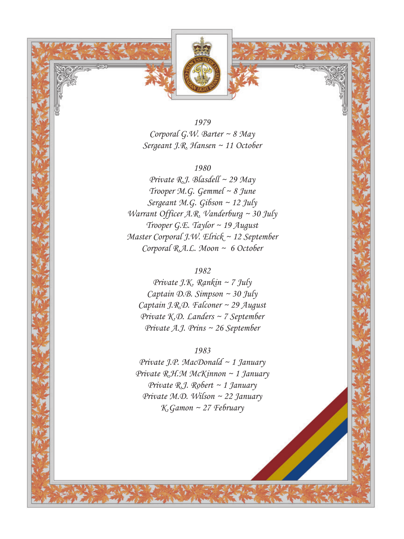![](_page_9_Picture_0.jpeg)

*1979 Corporal G.W. Barter ~ 8 May Sergeant J.R. Hansen ~ 11 October*

### *1980*

*Private R.J. Blasdell ~ 29 May Trooper M.G. Gemmel ~ 8 June Sergeant M.G. Gibson ~ 12 July Warrant Officer A.R. Vanderburg ~ 30 July Trooper G.E. Taylor ~ 19 August Master Corporal J.W. Elrick ~ 12 September Corporal R.A.L. Moon ~ 6 October* 

# *1982*

*Private J.K. Rankin ~ 7 July Captain D.B. Simpson ~ 30 July Captain J.R.D. Falconer ~ 29 August Private K.D. Landers ~ 7 September Private A.J. Prins ~ 26 September*

## *1983*

*Private J.P. MacDonald ~ 1 January Private R.H.M McKinnon ~ 1 January Private R.J. Robert ~ 1 January Private M.D. Wilson ~ 22 January K.Gamon ~ 27 February*

![](_page_9_Picture_8.jpeg)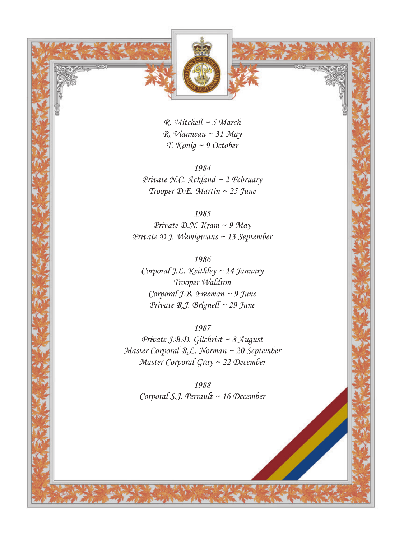![](_page_10_Picture_0.jpeg)

*R. Mitchell ~ 5 March R. Vianneau ~ 31 May T. Konig ~ 9 October*

*1984 Private N.C. Ackland ~ 2 February Trooper D.E. Martin ~ 25 June*

*1985 Private D.N. Kram ~ 9 May Private D.J. Wemigwans ~ 13 September*

*1986 Corporal J.L. Keithley ~ 14 January Trooper Waldron Corporal J.B. Freeman ~ 9 June Private R.J. Brignell ~ 29 June*

*1987 Private J.B.D. Gilchrist ~ 8 August Master Corporal R.L. Norman ~ 20 September Master Corporal Gray ~ 22 December*

*1988 Corporal S.J. Perrault ~ 16 December*

![](_page_10_Picture_7.jpeg)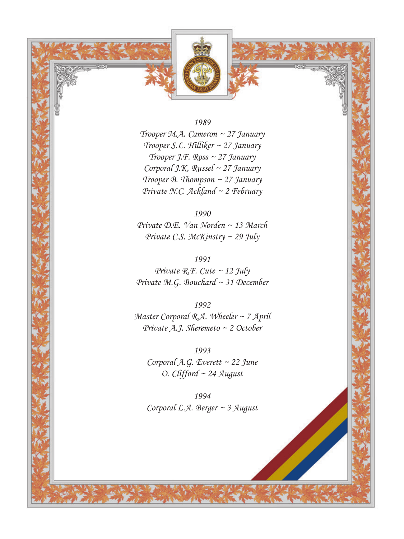![](_page_11_Picture_0.jpeg)

*1989*

*Trooper M.A. Cameron ~ 27 January Trooper S.L. Hilliker ~ 27 January Trooper J.F. Ross ~ 27 January Corporal J.K. Russel ~ 27 January Trooper B. Thompson ~ 27 January Private N.C. Ackland ~ 2 February*

*1990 Private D.E. Van Norden ~ 13 March Private C.S. McKinstry ~ 29 July*

*1991 Private R.F. Cute ~ 12 July Private M.G. Bouchard ~ 31 December* 

*1992 Master Corporal R.A. Wheeler ~ 7 April Private A.J. Sheremeto ~ 2 October*

*1993 Corporal A.G. Everett ~ 22 June O. Clifford ~ 24 August*

*1994 Corporal L.A. Berger ~ 3 August*

![](_page_11_Picture_8.jpeg)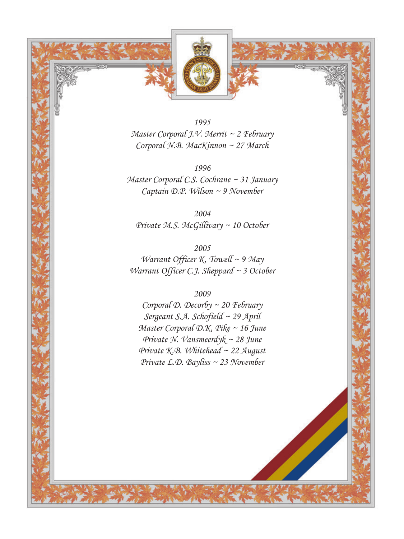![](_page_12_Picture_0.jpeg)

*1995 Master Corporal J.V. Merrit ~ 2 February Corporal N.B. MacKinnon ~ 27 March*

*1996 Master Corporal C.S. Cochrane ~ 31 January Captain D.P. Wilson ~ 9 November*

*2004 Private M.S. McGillivary ~ 10 October*

*2005 Warrant Officer K. Towell ~ 9 May Warrant Officer C.J. Sheppard ~ 3 October*

*2009*

*Corporal D. Decorby ~ 20 February Sergeant S.A. Schofield ~ 29 April Master Corporal D.K. Pike ~ 16 June Private N. Vansmeerdyk ~ 28 June Private K.B. Whitehead ~ 22 August Private L.D. Bayliss ~ 23 November*

![](_page_12_Picture_7.jpeg)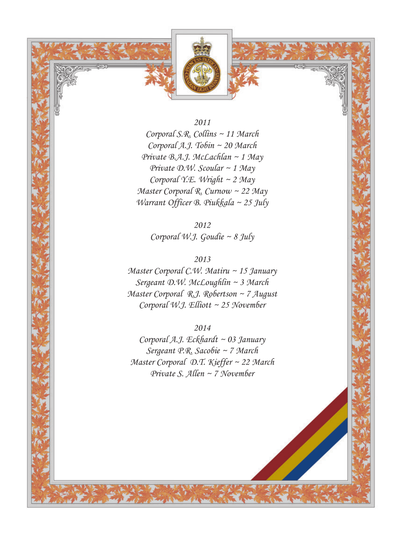![](_page_13_Picture_0.jpeg)

*2011*

*Corporal S.R. Collins ~ 11 March Corporal A.J. Tobin ~ 20 March Private B.A.J. McLachlan ~ 1 May Private D.W. Scoular ~ 1 May Corporal Y.E. Wright ~ 2 May Master Corporal R. Curnow ~ 22 May Warrant Officer B. Piukkala ~ 25 July*

> *2012 Corporal W.J. Goudie ~ 8 July*

*2013 Master Corporal C.W. Matiru ~ 15 January Sergeant D.W. McLoughlin ~ 3 March Master Corporal R.J. Robertson ~ 7 August Corporal W.J. Elliott ~ 25 November* 

*2014 Corporal A.J. Eckhardt ~ 03 January Sergeant P.R. Sacobie ~ 7 March Master Corporal D.T. Kieffer ~ 22 March Private S. Allen ~ 7 November*

![](_page_13_Picture_6.jpeg)

![](_page_13_Picture_7.jpeg)